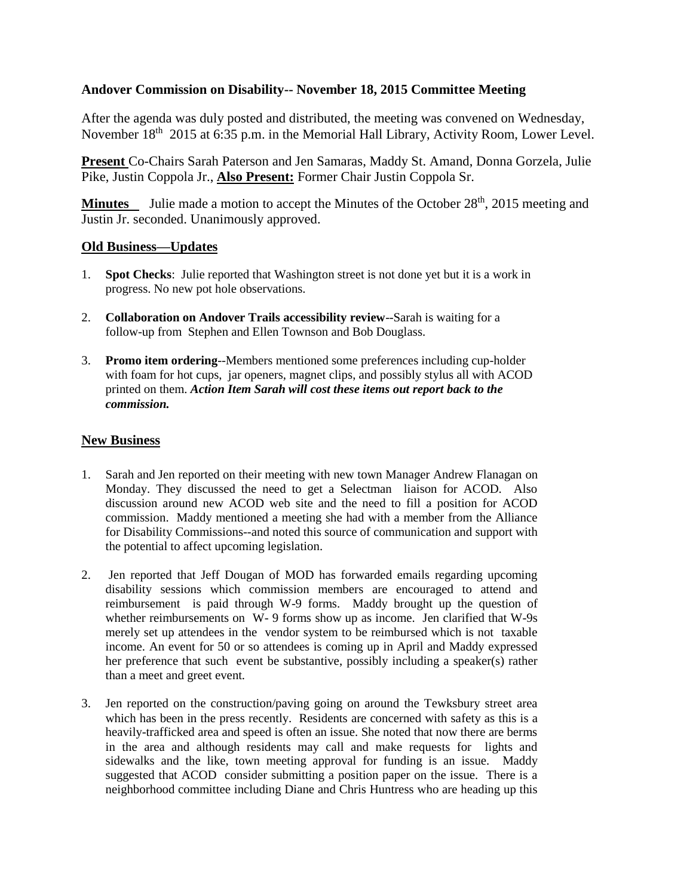## **Andover Commission on Disability-- November 18, 2015 Committee Meeting**

After the agenda was duly posted and distributed, the meeting was convened on Wednesday, November 18<sup>th</sup> 2015 at 6:35 p.m. in the Memorial Hall Library, Activity Room, Lower Level.

**Present** Co-Chairs Sarah Paterson and Jen Samaras, Maddy St. Amand, Donna Gorzela, Julie Pike, Justin Coppola Jr., **Also Present:** Former Chair Justin Coppola Sr.

**Minutes** Julie made a motion to accept the Minutes of the October 28<sup>th</sup>, 2015 meeting and Justin Jr. seconded. Unanimously approved.

## **Old Business—Updates**

- 1. **Spot Checks**: Julie reported that Washington street is not done yet but it is a work in progress. No new pot hole observations.
- 2. **Collaboration on Andover Trails accessibility review**--Sarah is waiting for a follow-up from Stephen and Ellen Townson and Bob Douglass.
- 3. **Promo item ordering**--Members mentioned some preferences including cup-holder with foam for hot cups, jar openers, magnet clips, and possibly stylus all with ACOD printed on them. *Action Item Sarah will cost these items out report back to the commission.*

## **New Business**

- 1. Sarah and Jen reported on their meeting with new town Manager Andrew Flanagan on Monday. They discussed the need to get a Selectman liaison for ACOD. Also discussion around new ACOD web site and the need to fill a position for ACOD commission. Maddy mentioned a meeting she had with a member from the Alliance for Disability Commissions--and noted this source of communication and support with the potential to affect upcoming legislation.
- 2. Jen reported that Jeff Dougan of MOD has forwarded emails regarding upcoming disability sessions which commission members are encouraged to attend and reimbursement is paid through W-9 forms. Maddy brought up the question of whether reimbursements on W- 9 forms show up as income. Jen clarified that W-9s merely set up attendees in the vendor system to be reimbursed which is not taxable income. An event for 50 or so attendees is coming up in April and Maddy expressed her preference that such event be substantive, possibly including a speaker(s) rather than a meet and greet event.
- 3. Jen reported on the construction/paving going on around the Tewksbury street area which has been in the press recently. Residents are concerned with safety as this is a heavily-trafficked area and speed is often an issue. She noted that now there are berms in the area and although residents may call and make requests for lights and sidewalks and the like, town meeting approval for funding is an issue. Maddy suggested that ACOD consider submitting a position paper on the issue. There is a neighborhood committee including Diane and Chris Huntress who are heading up this